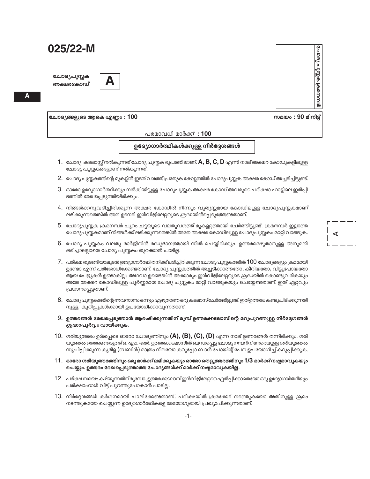ചോദ്യപുസ്തക അക്ഷരകോഡ്



ചോദ്യങ്ങളുടെ ആകെ എണ്ണം :  $100\,$ 

പരമാവധി മാർക്ക് : 100

ഉദ്യോഗാർത്ഥികൾക്കുള്ള നിർദ്ദേശങ്ങൾ

- $1.$  ചോദ്യ കടലാസ്സ് നൽകുന്നത് ചോദ്യ പുസ്തക രൂപത്തിലാണ്.  $\mathsf A,\mathsf B,\mathsf C,\mathsf D$  എന്നീ നാല് അക്ഷര കോഡുകളിലുള്ള ചോദ്യ പുസ്തകങ്ങളാണ് നൽകുന്നത്.
- 2. ചോദ്യ പുസ്തകത്തിന്റെ മുകളിൽ ഇടത് വശത്ത് പ്രത്യേക കോളത്തിൽ ചോദ്യപുസ്തക അക്ഷര കോഡ് അച്ചടിച്ചിട്ടുണ്ട്.
- 3. ഓരോ ഉദ്യോഗാർത്ഥിക്കും നൽകിയിട്ടുള്ള ചോദ്യപുസ്തക അക്ഷര കോഡ് അവരുടെ പരീക്ഷാ ഹാളിലെ ഇരിപ്പി ടത്തിൽ രേഖപ്പെടുത്തിയിരിക്കും.
- 4. നിങ്ങൾക്കനുവദിച്ചിരിക്കുന്ന അക്ഷര കോഡിൽ നിന്നും വ്യത്യസ്തമായ കോഡിലുള്ള ചോദ്യപുസ്തകമാണ് ലഭിക്കുന്നതെങ്കിൽ അത് ഉടനടി ഇൻവിജിലേറ്ററുടെ ശ്രദ്ധയിൽപ്പെടുത്തേണ്ടതാണ്.
- 5. ചോദ്യപുസ്തക ക്രമനമ്പർ പുറം ചട്ടയുടെ വലതുവശത്ത് മുകളറ്റത്തായി ചേർത്തിട്ടുണ്ട്. ക്രമനമ്പർ ഇല്ലാത്ത ചോദ്യപുസ്തകമാണ് നിങ്ങൾക്ക് ലഭിക്കുന്നതെങ്കിൽ അതേ അക്ഷര കോഡിലുള്ള ചോദ്യപുസ്തകം മാറ്റി വാങ്ങുക.
- 6. ചോദ്യ പുസ്തകം വലതു മാർജിനിൽ മദ്ധ്യഭാഗത്തായി സീൽ ചെയ്യിരിക്കും. ഉത്തരമെഴുതാനുള്ള അനുമതി ലഭിച്ചാലല്ലാതെ ചോദ്യ പുസ്തകം തുറക്കാൻ പാടില്ല.
- $7.$  പരീക്ഷ തുടങ്ങിയാലുടൻ ഉദ്യോഗാർത്ഥി തനിക്ക് ലഭിച്ചിരിക്കുന്ന ചോദ്യ പുസ്തകത്തിൽ  $100$  ചോദ്യങ്ങളും ക്രമമായി ഉണ്ടോ എന്ന് പരിശോധിക്കേണ്ടതാണ്. ചോദ്യ പുസ്തകത്തിൽ അച്ചടിക്കാത്തതോ, കീറിയതോ, വിട്ടുപോയതോ ആയ പേജുകൾ ഉണ്ടാകില്ല; അഥവാ ഉണ്ടെങ്കിൽ അക്കാര്യം ഇൻവിജിലേറ്ററുടെ ശ്രദ്ധയിൽ കൊണ്ടുവരികയും അതേ അക്ഷര കോഡിലുള്ള പൂർണ്ണമായ ചോദ്യ പുസ്തകം മാറ്റി വാങ്ങുകയും ചെയ്യേണ്ടതാണ്. ഇത് ഏറ്റവും പ്രധാനപ്പെട്ടതാണ്.
- 8. ചോദ്യപുസ്തകത്തിന്റെ അവസാനം ഒന്നും എഴുതാത്ത ഒരു കടലാസ് ചേർത്തിട്ടുണ്ട്. ഇത്ഉത്തരം കണ്ടുപിടിക്കുന്നതി നുള്ള കുറിപ്പുകൾക്കായി ഉപയോഗിക്കാവുന്നതാണ്.
- 9. ഉത്തരങ്ങൾ രേഖപ്പെടുത്താൻ ആരംഭിക്കുന്നതിന് മുമ്പ് ഉത്തരക്കടലാസിന്റെ മറുപുറത്തുള്ള നിർദ്ദേശങ്ങൾ ശ്രദ്ധാപൂർവ്വം വായിക്കുക.
- 10. ശരിയുത്തരം ഉൾപ്പെടെ ഓരോ ചോദ്യത്തിനും (A), (B), (C), (D) എന്ന നാല് ഉത്തരങ്ങൾ തന്നിരിക്കും. ശരി യുത്തരം തെരഞ്ഞെടുത്ത് ഒ. എം. ആർ. ഉത്തരക്കടലാസിൽ ബന്ധപ്പെട്ട ചോദ്യ നമ്പറിന് നേരെയുള്ള ശരിയുത്തരം സൂചിപ്പിക്കുന്ന കുമിള (ബബിൾ) മാത്രം നീലയോ കറുപ്പോ ബാൾ പോയിന്റ് പേന ഉപയോഗിച്ച് കറുപ്പിക്കുക.
- $11.$  ഓരോ ശരിയുത്തരത്തിനും ഒരു മാർക്ക് ലഭിക്കുകയും ഓരോ തെറ്റുത്തരത്തിനും  $1/3$  മാർക്ക് നഷ്ടമാവുകയും ചെയ്യും. ഉത്തരം രേഖപ്പെടുത്താത്ത ചോദ്യങ്ങൾക്ക് മാർക്ക് നഷ്ടമാവുകയില്ല.
- 12. പരീക്ഷ സമയം കഴിയുന്നതിന് മുമ്പോ, ഉത്തരക്കടലാസ് ഇൻവിജിലേറ്ററെ ഏൽപ്പിക്കാതെയോ ഒരു ഉദ്യോഗാർത്ഥിയും പരീക്ഷാഹാൾ വിട്ട് പുറത്തുപോകാൻ പാടില്ല.
- 13. നിർദേശങ്ങൾ കർശനമായി പാലിക്കേണ്ടതാണ്. പരീക്ഷയിൽ ക്രമക്കേട് നടത്തുകയോ അതിനുള്ള ശ്രമം നടത്തുകയോ ചെയ്യുന്ന ഉദ്യോഗാർത്ഥികളെ അയോഗ്യരായി പ്രഖ്യാപിക്കുന്നതാണ്.

മ്പാവുക്ക കണ്ണ് പ്രാപ്രമ സമയം : 90 മിനിട്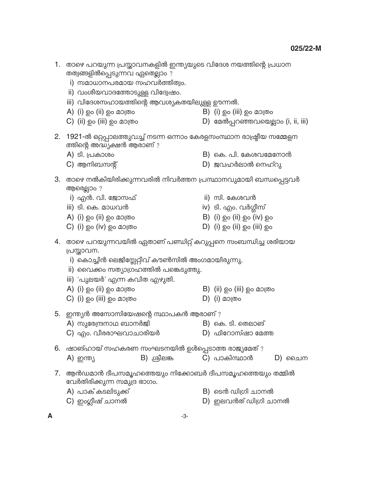- 1. താഴെ പറയുന്ന പ്രസ്താവനകളിൽ ഇന്ത്യയുടെ വിദേശ നയത്തിന്റെ പ്രധാന തത്വങ്ങളിൽപ്പെടുന്നവ ഏതെല്ലാം ?
	- i) സമാധാനപരമായ സഹവർത്തിത്വം.
	- ii) വംശീയവാദത്തോടുള്ള വിദ്വേഷം.
	- iii) വിദേശസഹായത്തിന്റെ ആവശ്യകതയിലുള്ള ഊന്നൽ.
	- A) (i) ഉം (ii) ഉം മാത്രം
- $\mathsf{B}$ ) (i) ഉം (iii) ഉം മാത്രം
- D) മേൽപ്പറഞ്ഞവയെല്ലാം (i, ii, iii) C) (ii) ഉം (iii) ഉം മാത്രം
- 2. 1921-ൽ ഒറ്റപ്പാലത്തുവച്ച് നടന്ന ഒന്നാം കേരളസംസ്ഥാന രാഷ്ട്രീയ സമ്മേളന ത്തിന്റെ അദ്ധ്യക്ഷൻ ആരാണ് ?
	- A) ടി. പ്രകാശം
- B) കെ. പി. കേശവമേനോൻ
- D) ജവഹർലാൽ നെഹ്റു  $\mathsf{C}$ ) ആനിബസന്റ്
- 3. താഴെ നൽകിയിരിക്കുന്നവരിൽ നിവർത്തന പ്രസ്ഥാനവുമായി ബന്ധപ്പെട്ടവർ ആരെല്ലാം ?
	- i) എൻ. വി. ജോസഫ്
	- iii) ടി. കെ. മാധവൻ
	- A) (i) ഉം (ii) ഉം മാത്രം
	- $C)$  (i) ഉം (iv) ഉം മാത്രം
- ii) സി. കേശവൻ
- iv) ടി. എം. വർഗ്ഗീസ്
- B) (i)  $\Omega$  (ii)  $\Omega$  (iv)  $\Omega$  (iv)
- $D)$  (i) ඉං (ii) ඉං (iii) ඉං
- 4. താഴെ പറയുന്നവയിൽ ഏതാണ് പണ്ഡിറ്റ് കറുപ്പനെ സംബന്ധിച്ച ശരിയായ പ്രസ്താവന.
	- i) കൊച്ചിൻ ലെജിസ്റ്റേറ്റീവ് കൗൺസിൽ അംഗമായിരുന്നു.
	- ii) വൈക്കം സത്യാഗ്രഹത്തിൽ പങ്കെടുത്തു.
	- iii) 'പുലയർ' എന്ന കവിത എഴുതി.
	- A) (i) ഉം (ii) ഉം മാത്രം  $B)$  (ii) ഉം (iii) ഉം മാത്രം
	- $D)$  (i) മാത്രം C) (i) ഉം (iii) ഉം മാത്രം

5. ഇന്ത്യൻ അസോസിയേഷന്റെ സ്ഥാപകൻ ആരാണ് ?

- A) സുരേന്ദ്രനാഥ ബാനർജി B) കെ. ടി. തെലാങ്
- C) എം. വീരരാഘവാചാരിയർ D) ഫിറോസ്ഷാ മേത്ത
- 6. ഷാങ്ഹായ് സഹകരണ സംഘടനയിൽ ഉൾപ്പെടാത്ത രാജ്യമേത് ?
	- $B)$  ശ്രീലങ്ക C) പാകിസ്ഥാൻ A) ഇന്ത്യ D) ചൈന
- 7. ആൻഡമാൻ ദീപസമൂഹത്തെയും നിക്കോബർ ദീപസമൂഹത്തെയും തമ്മിൽ വേർതിരിക്കുന്ന സമുദ്ര ഭാഗം.
	- A) പാക് കടലിടുക്ക് C) ഇംഗ്ലീഷ് ചാനൽ
- B) ടെൻ ഡിഗ്രി ചാനൽ
- D) ഇലവൻത് ഡിഗ്രി ചാനൽ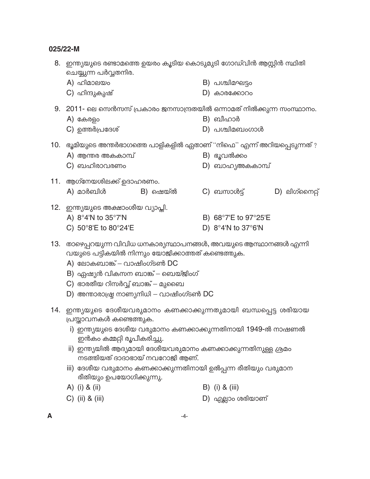- 8. ഇന്ത്യയുടെ രണ്ടാമത്തെ ഉയരം കൂടിയ കൊടുമുടി ഗോഡ്വിൻ ആസ്റ്റിൻ സ്ഥിതി ചെയ്യുന്ന പർവ്വതനിര.
	- A) ഹിമാലയം  $B)$  പശ്ചിമഘട്ടം
	- C) ഹിന്ദുകുഷ്  $D)$  കാരക്കോറം
- 9. 2011- ലെ സെൻസസ് പ്രകാരം ജനസാന്ദ്രതയിൽ ഒന്നാമത് നിൽക്കുന്ന സംസ്ഥാനം.
	- B) ബീഹാർ A) കേരളം
	- C) ഉത്തർപ്രദേശ്  $D)$  പശ്ചിമബംഗാൾ
- 10. ഭൂമിയുടെ അന്തർഭാഗത്തെ പാളികളിൽ ഏതാണ് "നിഫെ" എന്ന് അറിയപ്പെടുന്നത് ?
	- A) ആന്തര അകകാമ്പ് B) ഭൂവൽക്കം
	- $C$ ) ബഹിരാവരണം D) ബാഹൃഅകകാമ്പ്
- 11. ആഗ്നേയശിലക്ക് ഉദാഹരണം.
	- A) മാർബിൾ B) ഷെയ്ൽ C) ബസാൾട്ട് D) ലിഗ്നൈറ്റ്
- 12. ഇന്ത്യയുടെ അക്ഷാംശീയ വ്യാപ്തി.
	- A)  $8^{\circ}4'N$  to  $35^{\circ}7'N$
	- C) 50°8'E to 80°24'E
- B) 68°7'E to 97°25'E
- D)  $8^{\circ}4'N$  to  $37^{\circ}6'N$
- 13. രാഴെപ്പറയുന്ന വിവിധ ധനകാര്യസ്ഥാപനങ്ങൾ, അവയുടെ ആസ്ഥാനങ്ങൾ എന്നി വയുടെ പട്ടികയിൽ നിന്നും യോജിക്കാത്തത് കണ്ടെത്തുക.
	- A) ലോകബാങ്ക് വാഷിംഗ്ടൺ DC
	- B) ഏഷ്യൻ വികസന ബാങ്ക് ബെയ്ജിംഗ്
	- C) ഭാരതീയ റിസർവ്വ് ബാങ്ക് മുബൈ
	- D) അന്താരാഷ്ട്ര നാണ്യനിധി വാഷിംഗ്ടൺ DC
- 14. ഇന്ത്യയുടെ ദേശീയവരുമാനം കണക്കാക്കുന്നതുമായി ബന്ധപ്പെട്ട ശരിയായ പ്രസ്താവനകൾ കണ്ടെത്തുക.
	- i) ഇന്ത്യയുടെ ദേശീയ വരുമാനം കണക്കാക്കുന്നതിനായി 1949-ൽ നാഷണൽ ഇൻകം കമ്മറ്റി രൂപീകരിച്ചു.
	- ii) ഇന്ത്യയിൽ ആദ്യമായി ദേശീയവരുമാനം കണക്കാക്കുന്നതിനുള്ള ശ്രമം നടത്തിയത് ദാദാഭായ് നവറോജി ആണ്.
	- iii) ദേശീയ വരുമാനം കണക്കാക്കുന്നതിനായി ഉൽപ്പന്ന രീതിയും വരുമാന രീതിയും ഉപയോഗിക്കുന്നു.
	- A) (i) & (ii)  $B)$  (i) & (iii)
	- $C)$  (ii) & (iii) D) എല്ലാം ശരിയാണ്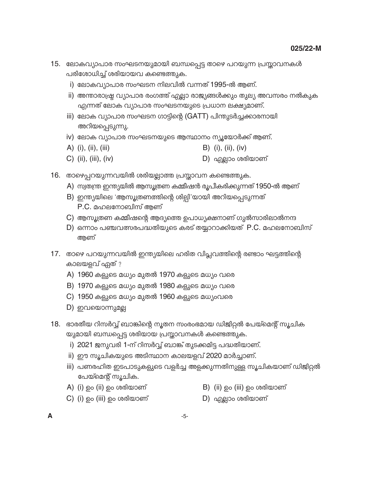- 15. ലോകവ്യാപാര സംഘടനയുമായി ബന്ധപ്പെട്ട താഴെ പറയുന്ന പ്രസ്താവനകൾ പരിശോധിച്ച് ശരിയായവ കണ്ടെത്തുക.
	- i) ലോകവ്യാപാര സംഘടന നിലവിൽ വന്നത് 1995-ൽ ആണ്.
	- ii) അന്താരാഷ്ട്ര വ്യാപാര രംഗത്ത് എല്ലാ രാജ്യങ്ങൾക്കും തുല്യ അവസരം നൽകുക എന്നത് ലോക വ്യാപാര സംഘടനയുടെ പ്രധാന ലക്ഷ്യമാണ്.
	- iii) ലോക വ്യാപാര സംഘടന ഗാട്ടിന്റെ (GATT) പിന്തുടർച്ചക്കാരനായി അറിയപ്പെടുന്നു.
	- iv) ലോക വ്യാപാര സംഘടനയുടെ ആസ്ഥാനം ന്യൂയോർക്ക് ആണ്.
	- A) (i), (ii), (iii)  $B)$  (i), (ii), (iv)
	- $C)$  (ii), (iii), (iv) D) എല്ലാം ശരിയാണ്
- 16. താഴെപ്പറയുന്നവയിൽ ശരിയല്ലാത്ത പ്രസ്താവന കണ്ടെത്തുക.
	- A) സ്വതന്ത്ര ഇന്ത്യയിൽ ആസൂത്രണ കമ്മീഷൻ രൂപീകരിക്കുന്നത് 1950-ൽ ആണ്
	- B) ഇന്ത്യയിലെ 'ആസൂത്രണത്തിന്റെ ശില്പി'യായി അറിയപ്പെടുന്നത് P.C. മഹലനോബിസ് ആണ്
	- C) ആസൂത്രണ കമ്മീഷന്റെ ആദ്യത്തെ ഉപാധ്യക്ഷനാണ് ഗുൽസാരിലാൽനന്ദ
	- D) ഒന്നാം പഞ്ചവത്സരപദ്ധതിയുടെ കരട് തയ്യാറാക്കിയത് P.C. മഹലനോബിസ് അണ്
- 17. താഴെ പറയുന്നവയിൽ ഇന്ത്യയിലെ ഹരിത വിപ്ലവത്തിന്റെ രണ്ടാം ഘട്ടത്തിന്റെ കാലയളവ് ഏത് ?
	- A) 1960 കളുടെ മധ്യം മുതൽ 1970 കളുടെ മധ്യം വരെ
	- B) 1970 കളുടെ മധ്യം മുതൽ 1980 കളുടെ മധ്യം വരെ
	- C) 1950 കളുടെ മധ്യം മുതൽ 1960 കളുടെ മധ്യംവരെ
	- D) ഇവയൊന്നുമല്ല
- 18. ഭാരതീയ റിസർവ്വ് ബാങ്കിന്റെ നൂതന സംരംഭമായ ഡിജിറ്റൽ പേയ്മെന്റ് സൂചിക യുമായി ബന്ധപ്പെട്ട ശരിയായ പ്രസ്താവനകൾ കണ്ടെത്തുക.
	- i) 2021 ജനുവരി 1-ന് റിസർവ്വ് ബാങ്ക് തുടക്കമിട്ട പദ്ധതിയാണ്.
	- ii) ഈ സൂചികയുടെ അടിസ്ഥാന കാലയളവ് 2020 മാർച്ചാണ്.
	- iii) പണരഹിത ഇടപാടുകളുടെ വളർച്ച അളക്കുന്നതിനുള്ള സൂചികയാണ് ഡിജിറ്റൽ പേയ്മെന്റ് സൂചിക.
	- A) (i) ഉം (ii) ഉം ശരിയാണ്

B) (ii) ഉം (iii) ഉം ശരിയാണ്

C) (i) ഉം (iii) ഉം ശരിയാണ്

D) എല്ലാം ശരിയാണ്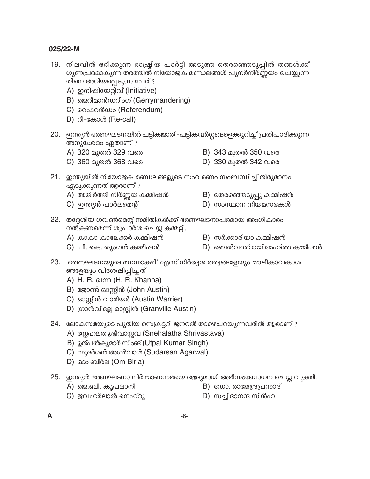- 19. നിലവിൽ ഭരിക്കുന്ന രാഷ്ട്രീയ പാർട്ടി അടുത്ത തെരഞ്ഞെടുപ്പിൽ തങ്ങൾക്ക് ഗുണപ്രദമാകുന്ന തരത്തിൽ നിയോജക മണ്ഡലങ്ങൾ പുനർനിർണ്ണയം ചെയ്യുന്ന തിനെ അറിയപ്പെടുന്ന പേര് ?
	- A) ഇനിഷിയേറ്റീവ് (Initiative)
	- B) ജെറിമാൻഡറിംഗ് (Gerrymandering)
	- C) റെഫറൻഡം (Referendum)
	- D) റീ-കോൾ (Re-call)
- 20. ഇന്ത്യൻ ഭരണഘടനയിൽ പട്ടികജാതി-പട്ടികവർഗ്ഗങ്ങളെക്കുറിച്ച് പ്രതിപാദിക്കുന്ന അനുഛേദം ഏതാണ് ?
	- A) 320 മുതൽ 329 വരെ

B) 343 മുതൽ 350 വരെ

C) 360 മുതൽ 368 വരെ

- D) 330 മുതൽ 342 വരെ
- 21. ഇന്ത്യയിൽ നിയോജക മണ്ഡലങ്ങളുടെ സംവരണം സംബന്ധിച്ച് തീരുമാനം എടുക്കുന്നത് ആരാണ് ?
	- A) അതിർത്തി നിർണ്ണയ കമ്മീഷൻ
	- $\mathsf{C}$ ) ഇന്ത്യൻ പാർലമെന്റ്
- B) തെരഞ്ഞെടുപ്പു കമ്മീഷൻ
- $D)$  സംസ്ഥാന നിയമസഭകൾ
- 22. തദ്ദേശീയ ഗവൺമെന്റ് സമിതികൾക്ക് ഭരണഘടനാപരമായ അംഗീകാരം നൽകണമെന്ന് ശുപാർശ ചെയ്യ കമ്മറ്റി.
	- A) കാകാ കാലേക്കർ കമ്മീഷൻ
	- C) പി. കെ. തുംഗൻ കമ്മീഷൻ
- B) സർക്കാരിയാ കമ്മീഷൻ
- D) ബെൽവന്ത്റായ് മേഹ്ത്ത കമ്മീഷൻ
- ങ്ങളേയും വിശേഷിപ്പിച്ചത്
	- A) H. R. ഖന്ന (H. R. Khanna)
	- B) ജോൺ ഓസ്റ്റിൻ (John Austin)
	- C) ഓസ്റ്റിൻ വാരിയർ (Austin Warrier)
	- D) ഗ്രാൻവില്ലെ ഓസ്റ്റിൻ (Granville Austin)
- 24. ലോകസഭയുടെ പുതിയ സെക്രട്ടറി ജനറൽ താഴെപറയുന്നവരിൽ ആരാണ് ?
	- A) സ്റ്റേഹലത ശ്രീവാസ്തവ (Snehalatha Shrivastava)
	- B) ഉത്പൽകുമാർ സിംങ് (Utpal Kumar Singh)
	- C) സുദർശൻ അഗർവാൾ (Sudarsan Agarwal)
	- D) ഓം ബിർല (Om Birla)
- 25. ഇന്ത്യൻ ഭരണഘടനാ നിർമ്മാണസഭയെ ആദ്യമായി അഭിസംബോധന ചെയ്ത വ്യക്തി.
	- A) ജെ.ബി. കൃപലാനി

B) ഡോ. രാജേന്ദ്രപ്രസാദ്

 $C$ ) ജവഹർലാൽ നെഹ്റു

 $D)$  സച്ചിദാനന്ദ സിൻഹ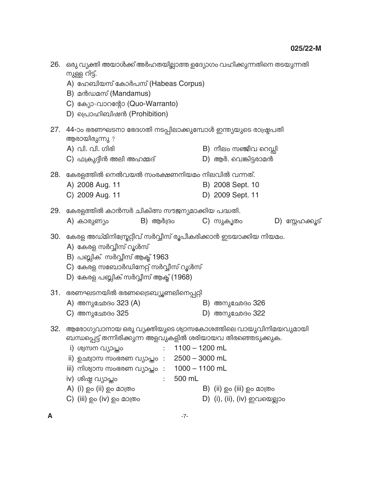| 26. | ഒരു വ്യക്തി അയാൾക്ക് അർഹതയില്ലാത്ത ഉദ്യോഗം വഹിക്കുന്നതിനെ തടയുന്നതി<br>നുള്ള റിട്ട്.<br>A) ഹേബിയസ് കോർപസ് (Habeas Corpus)<br>B) മൻഡമസ് (Mandamus)<br>C) ക്യോ-വാറന്റോ (Quo-Warranto)<br>D) പ്രൊഹിബിഷൻ (Prohibition)                       |                                                                    |           |                                               |  |                  |  |
|-----|------------------------------------------------------------------------------------------------------------------------------------------------------------------------------------------------------------------------------------------|--------------------------------------------------------------------|-----------|-----------------------------------------------|--|------------------|--|
| 27. | 44-ാം ഭരണഘടനാ ഭേദഗതി നടപ്പിലാക്കുമ്പോൾ ഇന്ത്യയുടെ രാഷ്ട്രപതി<br>ആരായിരുന്നു ?                                                                                                                                                            |                                                                    |           |                                               |  |                  |  |
|     | A) വി. വി. ഗിരി<br>C) ഫക്രുദ്ദീൻ അലി അഹമ്മദ്                                                                                                                                                                                             |                                                                    |           | B) നീലം സഞ്ജീവ റെഡ്ഡി<br>D) ആർ. വെങ്കിട്ടരാമൻ |  |                  |  |
|     | 28. കേരളത്തിൽ നെൽവയൽ സംരക്ഷണനിയമം നിലവിൽ വന്നത്.                                                                                                                                                                                         |                                                                    |           |                                               |  |                  |  |
|     | A) 2008 Aug. 11                                                                                                                                                                                                                          |                                                                    |           | B) 2008 Sept. 10                              |  |                  |  |
|     | C) 2009 Aug. 11                                                                                                                                                                                                                          |                                                                    |           | D) 2009 Sept. 11                              |  |                  |  |
| 29. | കേരളത്തിൽ കാൻസർ ചികിത്സ സൗജന്യമാക്കിയ പദ്ധതി.                                                                                                                                                                                            |                                                                    |           |                                               |  |                  |  |
|     | $B)$ ആർദ്രം<br>A) കാരുണ്യം                                                                                                                                                                                                               |                                                                    | C) സുകൃതം |                                               |  | D) സ്റ്റേഹക്കൂട് |  |
| 30. | കേരള അഡ്മിനിസ്പ്രേറ്റീവ് സർവ്വീസ് രൂപീകരിക്കാൻ ഇടയാക്കിയ നിയമം.<br>A) കേരള സർവ്വീസ് റൂൾസ്<br>B) പബ്ലിക് സർവ്വീസ് ആക്ട് 1963<br>$C$ ) കേരള സബോർഡിനേറ്റ് സർവ്വീസ് റൂൾസ്<br>D) കേരള പബ്ലിക് സർവ്വീസ് ആക്ട് (1968)                           |                                                                    |           |                                               |  |                  |  |
|     | 31. ഭരണഘടനയിൽ ഭരണട്രൈബ്യൂണലിനെപ്പറ്റി                                                                                                                                                                                                    |                                                                    |           |                                               |  |                  |  |
|     | A) അനുഛേദം 323 (A)                                                                                                                                                                                                                       |                                                                    |           | B) അനുഛേദം 326                                |  |                  |  |
|     | C) അനുഛേദം 325                                                                                                                                                                                                                           |                                                                    |           | D) അനുഛേദം 322                                |  |                  |  |
| 32. | ആരോഗ്യവാനായ ഒരു വ്യക്തിയുടെ ശ്വാസകോശത്തിലെ വായുവിനിമയവുമായി<br>ബന്ധപ്പെട്ട് തന്നിരിക്കുന്ന അളവുകളിൽ ശരിയായവ തിരഞ്ഞെടുക്കുക.<br>i) ശ്വസന വ്യാപ്തം<br>ii) ഉഛ്വാസ സംഭരണ വ്യാപ്തം  :<br>iii) നിശ്വാസ സംഭരണ വ്യാപ്തം  :<br>iv) ശിഷ്ട വ്യാപ്തം | $1100 - 1200$ mL<br>$2500 - 3000$ mL<br>$1000 - 1100$ mL<br>500 mL |           |                                               |  |                  |  |
|     | A) (i) ഉം (ii) ഉം മാത്രം<br>C) (iii) ഉം (iv) ഉം മാത്രം                                                                                                                                                                                   |                                                                    |           | $\mathsf B$ ) (ii) ഉം (iii) ഉം മാത്രം         |  |                  |  |
|     |                                                                                                                                                                                                                                          |                                                                    |           | D) (i), (ii), (iv) ഇവയെല്ലാം                  |  |                  |  |

 $\boldsymbol{\mathsf{A}}$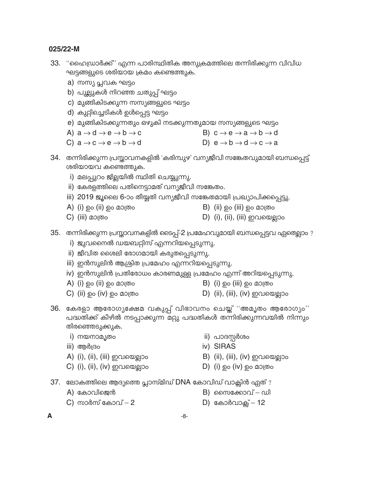- 33. "ഹൈഡ്രാർക്ക്" എന്ന പാരിസ്ഥിതിക അനുക്രമത്തിലെ തന്നിരിക്കുന്ന വിവിധ ഘട്ടങ്ങളുടെ ശരിയായ ക്രമം കണ്ടെത്തുക.
	- a) സസ്യ പ്ലവക ഘട്ടം
	- b) പുല്ലുകൾ നിറഞ്ഞ ചതുപ്പ് ഘട്ടം
	- c) മുങ്ങികിടക്കുന്ന സസ്യങ്ങളുടെ ഘട്ടം
	- d) കുറ്റിച്ചെടികൾ ഉൾപ്പെട്ട ഘട്ടം
	- e) മുങ്ങികിടക്കുന്നതും ഒഴുകി നടക്കുന്നതുമായ സസ്യങ്ങളുടെ ഘട്ടം
	- A)  $a \rightarrow d \rightarrow e \rightarrow b \rightarrow c$ B)  $c \rightarrow e \rightarrow a \rightarrow b \rightarrow d$
	- C)  $a \rightarrow c \rightarrow e \rightarrow b \rightarrow d$ D)  $e \rightarrow b \rightarrow d \rightarrow c \rightarrow a$
- 34. തന്നിരിക്കുന്ന പ്രസ്താവനകളിൽ 'കരിമ്പുഴ' വന്യജീവി സങ്കേതവുമായി ബന്ധപ്പെട്ട് ശരിയായവ കണ്ടെത്തുക.
	- i) മലപ്പുറം ജില്ലയിൽ സ്ഥിതി ചെയ്യുന്നു.
	- ii) കേരളത്തിലെ പതിനെട്ടാമത് വന്യജീവി സങ്കേതം.
	- iii) 2019 ജൂലൈ 6-ാം തീയ്യതി വന്യജീവി സങ്കേതമായി പ്രഖ്യാപിക്കപ്പെട്ടു.
	- A) (i) ഉം (ii) ഉം മാത്രം

 $B)$  (ii) ഉം (iii) ഉം മാത്രം

 $C)$  (iii) മാത്രം

- $D)$  (i), (ii), (iii) ഇവയെല്ലാം
- 35. തന്നിരിക്കുന്ന പ്രസ്താവനകളിൽ ടൈപ്പ്-2 പ്രമേഹവുമായി ബന്ധപ്പെട്ടവ ഏതെല്ലാം ?
	- i) ജുവനൈൽ ഡയബറ്റിസ് എന്നറിയപ്പെടുന്നു.
	- ii) ജീവിത ശൈലി രോഗമായി കരുതപ്പെടുന്നു.
	- iii) ഇൻസുലിൻ ആശ്രിത പ്രമേഹം എന്നറിയപ്പെടുന്നു.
	- iv) ഇൻസുലിൻ പ്രതിരോധം കാരണമുള്ള പ്രമേഹം എന്ന് അറിയപ്പെടുന്നു.
	- A) (i) ഉം (ii) ഉം മാത്രം
	- $C)$  (ii) ഉം (iv) ഉം മാത്രം
- $B)$  (i) ഉം (iii) ഉം മാത്രം
- D) (ii), (iii), (iv) ഇവയെല്ലാം
- 36. കേരളാ ആരോഗൃക്ഷേമ വകുപ്പ് വിഭാവനം ചെയ്ത് ''അമൃതം ആരോഗ്യം'' പദ്ധതിക്ക് കീഴിൽ നടപ്പാക്കുന്ന മറ്റു പദ്ധതികൾ തന്നിരിക്കുന്നവയിൽ നിന്നും തിരഞ്ഞെടുക്കുക.
	- i) നയനാമൃതം
	- iii) ആർദ്രം
	- A) (i), (ii), (iii) ഇവയെല്ലാം
	- C) (i), (ii), (iv) ഇവയെല്ലാം
- ii) പാദസ്റ്റർശം
- iv) SIRAS
- B) (ii), (iii), (iv) ഇവയെല്ലാം
- D)  $(i)$  ഉം  $(iv)$  ഉം മാത്രം
- 37. ലോകത്തിലെ ആദ്യത്തെ പ്ലാസ്മിഡ് DNA കോവിഡ് വാക്സിൻ ഏത്?
	- A) കോവിജെൻ

**B**) സൈക്കോവ് – ഡി

C) സാർസ് കോവ് – 2

D) കോർവാക്സ് – 12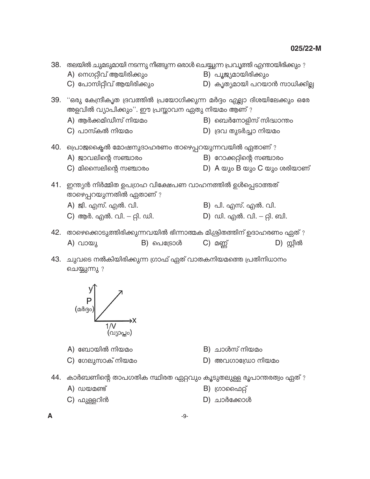|     | 38. തലയിൽ ചുമടുമായി നടന്നു നീങ്ങുന്ന ഒരാൾ ചെയ്യുന്ന പ്രവൃത്തി എന്തായിരിക്കും ?<br>A) നെഗറ്റീവ് ആയിരിക്കും<br>C) പോസിറ്റീവ് ആയിരിക്കും |            | B) പൂജ്യമായിരിക്കും<br>D) കൃത്യമായി പറയാൻ സാധിക്കില്ല |                        |
|-----|---------------------------------------------------------------------------------------------------------------------------------------|------------|-------------------------------------------------------|------------------------|
|     | 39. "ഒരു കേന്ദ്രീകൃത ദ്രവത്തിൽ പ്രയോഗിക്കുന്ന മർദ്ദം എല്ലാ ദിശയിലേക്കും ഒരേ<br>അളവിൽ വ്യാപിക്കും''. ഈ പ്രസ്താവന ഏതു നിയമം ആണ് ?       |            |                                                       |                        |
|     | A) ആർക്കമിഡീസ് നിയമം                                                                                                                  |            | B) ബെർനോളിസ് സിദ്ധാന്തം                               |                        |
|     | $C$ ) പാസ്കൽ നിയമം                                                                                                                    |            | D) ദ്രവ തുടർച്ചാ നിയമം                                |                        |
|     | 40. പ്രൊജക്കൈൽ മോഷനുദാഹരണം താഴെപ്പറയുന്നവയിൽ ഏതാണ് ?                                                                                  |            |                                                       |                        |
|     | A) ജാവലിന്റെ സഞ്ചാരം                                                                                                                  |            | <b>B</b> ) റോക്കറ്റിന്റെ സഞ്ചാരം                      |                        |
|     | $C$ ) മിസൈലിന്റെ സഞ്ചാരം                                                                                                              |            | D) A യും B യും C യും ശരിയാണ്                          |                        |
| 41. | ഇന്ത്യൻ നിർമ്മിത ഉപഗ്രഹ വിക്ഷേപണ വാഹനത്തിൽ ഉൾപ്പെടാത്തത്<br>താഴെപ്പറയുന്നതിൽ ഏതാണ് ?                                                  |            |                                                       |                        |
|     | A) ജി. എസ്. എൽ. വി.                                                                                                                   |            | B) പി. എസ്. എൽ. വി.                                   |                        |
|     | C) ആർ. എൽ. വി. – റ്റി. ഡി.                                                                                                            |            | D) ഡി. എൽ. വി. – റ്റി. ബി.                            |                        |
|     | 42. താഴെക്കൊടുത്തിരിക്കുന്നവയിൽ ഭിന്നാത്മക മിശ്രിതത്തിന് ഉദാഹരണം ഏത് ?                                                                |            |                                                       |                        |
|     | A) വായു                                                                                                                               | B) പെട്രോൾ | $C)$ മണ്ണ്                                            | $\mathsf{D}$ ) സ്റ്റീൽ |

43. ചുവടെ നൽകിയിരിക്കുന്ന ഗ്രാഫ് ഏത് വാതകനിയമത്തെ പ്രതിനിധാനം ചെയ്യുന്നു ?



- A) ബോയിൽ നിയമം
- B) ചാൾസ് നിയമം
- C) ഗേലുസാക് നിയമം
- $D)$  അവഗാഡ്രോ നിയമം
- 44. കാർബണിന്റെ താപഗതിക സ്ഥിരത ഏറ്റവും കൂടുതലുള്ള രൂപാന്തരത്വം ഏത് ?
	- $A)$   $ww$  $a$ ണ്ട്
- $B)$  ഗ്രാഫൈറ്റ്
- C) ഫുള്ളറിൻ
- $D)$  ചാർക്കോൾ

 $-9-$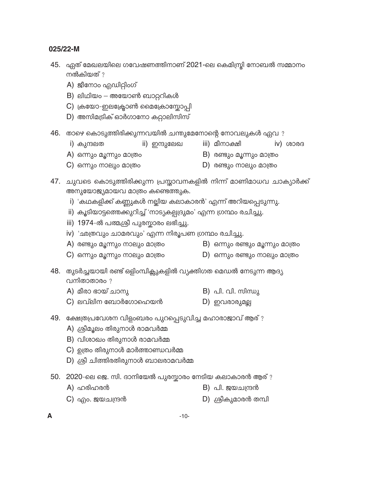- 45. ഏത് മേഖലയിലെ ഗവേഷണത്തിനാണ് 2021-ലെ കെമിസ്രി നോബൽ സമ്മാനം നൽകിയത് ?
	- A) ജീനോം എഡിറ്റിംഗ്
	- B) ലിഥിയം അയോൺ ബാറ്ററികൾ
	- C) ക്രയോ-ഇലക്ട്രോൺ മൈക്രോസ്കോപ്പി
	- D) അസിമട്രിക് ഓർഗാനോ കറ്റാലിസിസ്
- 46. താഴെ കൊടുത്തിരിക്കുന്നവയിൽ ചന്തുമേനോന്റെ നോവലുകൾ ഏവ ?
	- i) കുന്ദലത ii) ഇന്ദുലേഖ
- iii) മീനാക്ഷി
	- $(vi)$  coping B) രണ്ടും മൂന്നും മാത്രം

A) ഒന്നും മൂന്നും മാത്രം  $C)$  ഒന്നും നാലും മാത്രം

 $D)$  രണ്ടും നാലും മാത്രം

B) ഒന്നും രണ്ടും മൂന്നും മാത്രം

- 47. ചുവടെ കൊടുത്തിരിക്കുന്ന പ്രസ്താവനകളിൽ നിന്ന് മാണിമാധവ ചാക്യാർക്ക് അനുയോജ്യമായവ മാത്രം കണ്ടെത്തുക.
	- i) 'കഥകളിക്ക് കണ്ണുകൾ നല്ലിയ കലാകാരൻ' എന്ന് അറിയപ്പെടുന്നു.
	- ii) കൂടിയാട്ടത്തെക്കുറിച്ച് 'നാട്യകല്പദ്രുമം' എന്ന ഗ്രന്ഥം രചിച്ചു.
	- iii) 1974-ൽ പത്മശ്രീ പുരസ്കാരം ലഭിച്ചു.
	- iv) 'ഛത്രവും ചാമരവും' എന്ന നിരൂപണ ഗ്രന്ഥം രചിച്ചു.
	- A) രണ്ടും മൂന്നും നാലും മാത്രം
	- C) ഒന്നും മൂന്നും നാലും മാത്രം D) ഒന്നും രണ്ടും നാലും മാത്രം
- 48. തുടർച്ചയായി രണ്ട് ഒളിംമ്പിക്സുകളിൽ വ്യക്തിഗത മെഡൽ നേടുന്ന ആദ്യ വനിതാതാരം ?
	- A) മീരാ ഭായ് ചാനു B) പി. വി. സിന്ധു
	- $C$ ) ലവ്ലിന ബോർഗോഹെയൻ D) ഇവരാരുമല്ല
- 49. ക്ഷേത്രപ്രവേശന വിളംബരം പുറപ്പെടുവിച്ച മഹാരാജാവ് ആര്?
	- A) ശ്രീമൂലം തിരുനാൾ രാമവർമ്മ
	- B) വിശാഖം തിരുനാൾ രാമവർമ്മ
	- $C$ ) ഉത്രം തിരുനാൾ മാർത്താണ്ഡവർമ്മ
	- D) ശ്രീ ചിത്തിരതിരുനാൾ ബാലരാമവർമ്മ
- 50. 2020-ലെ ജെ. സി. ദാനിയേൽ പുരസ്കാരം നേടിയ കലാകാരൻ ആര് ?
	- A) ഹരിഹരൻ B) പി. ജയചന്ദ്രൻ
	- C) എം. ജയചന്ദ്രൻ D) ശ്രീകുമാരൻ തമ്പി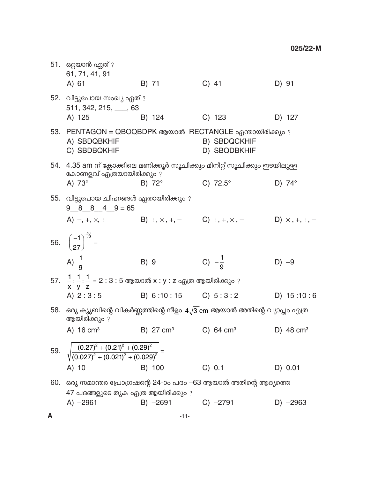|     | 51. ഒറ്റയാൻ ഏത് ?<br>61, 71, 41, 91<br>A) 61                                                               | B) 71               | $C)$ 41                                                                                         | D) 91         |
|-----|------------------------------------------------------------------------------------------------------------|---------------------|-------------------------------------------------------------------------------------------------|---------------|
|     | 52. വിട്ടുപോയ സംഖ്യ ഏത് ?<br>511, 342, 215, 63<br>A) 125                                                   | B) 124              | $C)$ 123                                                                                        | D) 127        |
|     | 53. PENTAGON = QBOQBDPK ആയാൽ RECTANGLE എന്തായിരിക്കും ?<br>A) SBDQBKHIF<br>C) SBDBQKHIF                    |                     | <b>B) SBDQCKHIF</b><br>D) SBQDBKHIF                                                             |               |
| 54. | 4.35 am ന് ക്ലോക്കിലെ മണിക്കൂർ സൂചിക്കും മിനിറ്റ് സൂചിക്കും ഇടയിലുള്ള                                      |                     |                                                                                                 |               |
|     | കോണളവ് എത്രയായിരിക്കും ?<br>A) 73°                                                                         | B) 72°              | C) $72.5^{\circ}$                                                                               | D) $74^\circ$ |
|     | 55. വിട്ടുപോയ ചിഹ്നങ്ങൾ ഏതായിരിക്കും ?<br>$9 \underline{8} \underline{8} \underline{4} \underline{9} = 65$ |                     |                                                                                                 |               |
|     |                                                                                                            |                     | A) $-, +, \times, \div$ B) $\div, \times, +, -$ C) $\div, +, \times, -$ D) $\times, +, \div, -$ |               |
|     | 56. $\left(\frac{-1}{27}\right)^{-2/3}$ =                                                                  |                     |                                                                                                 |               |
|     | A) $\frac{1}{9}$                                                                                           | B) 9                | C) $-\frac{1}{9}$                                                                               | $D) -9$       |
|     | 57. $\frac{1}{x} : \frac{1}{y} : \frac{1}{z} = 2 : 3 : 5$ ആയാൽ x : y : z എത്ര ആയിരിക്കും ?                 |                     |                                                                                                 |               |
|     | A) $2:3:5$                                                                                                 | B) 6:10:15 C) 5:3:2 |                                                                                                 | D) $15:10:6$  |
| 58. | ഒരു ക്യൂബിന്റെ വികർണ്ണത്തിന്റെ നീളം $4\sqrt{3}$ cm ആയാൽ അതിന്റെ വ്യാപ്തം എത്ര<br>ആയിരിക്കും ?              |                     |                                                                                                 |               |
|     |                                                                                                            |                     | A) $16 \text{ cm}^3$ B) $27 \text{ cm}^3$ C) $64 \text{ cm}^3$ D) $48 \text{ cm}^3$             |               |
|     | 59. $\sqrt{\frac{(0.27)^2 + (0.21)^2 + (0.29)^2}{(0.027)^2 + (0.021)^2 + (0.029)^2}} =$                    |                     |                                                                                                 |               |
|     | A) 10                                                                                                      | B) 100              | C) 0.1                                                                                          | D) 0.01       |
| 60. | ഒരു സമാന്തര പ്രോഗ്രഷന്റെ 24-ാം പദം —63 ആയാൽ അതിന്റെ ആദ്യത്തെ                                               |                     |                                                                                                 |               |
|     | 47 പദങ്ങളുടെ തുക എത്ര ആയിരിക്കും ?<br>$A) -2961$                                                           | $B) -2691$          | $C) -2791$                                                                                      | $D) -2963$    |

 $\boldsymbol{\mathsf{A}}$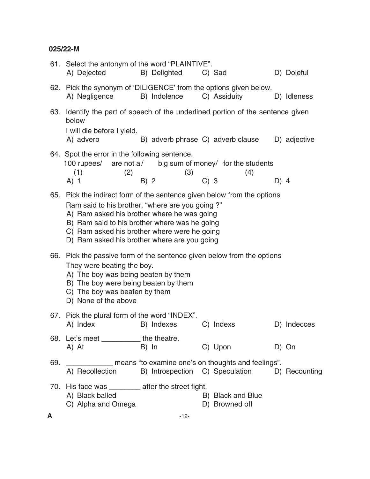|     | 61. Select the antonym of the word "PLAINTIVE".<br>A) Dejected                                                                                                                                                                                                                                                         | B) Delighted                                                   |        | C) Sad                              |      | D) Doleful   |
|-----|------------------------------------------------------------------------------------------------------------------------------------------------------------------------------------------------------------------------------------------------------------------------------------------------------------------------|----------------------------------------------------------------|--------|-------------------------------------|------|--------------|
|     | 62. Pick the synonym of 'DILIGENCE' from the options given below.<br>A) Negligence                                                                                                                                                                                                                                     | B) Indolence                                                   |        | C) Assiduity                        |      | D) Idleness  |
|     | 63. Identify the part of speech of the underlined portion of the sentence given<br>below<br>I will die before I yield.<br>A) adverb                                                                                                                                                                                    | B) adverb phrase C) adverb clause                              |        |                                     |      | D) adjective |
|     | 64. Spot the error in the following sentence.<br>100 rupees/<br>(1)<br>(2)<br>$A)$ 1                                                                                                                                                                                                                                   | are not $a/$ big sum of money/ for the students<br>(3)<br>B) 2 | $C)$ 3 | (4)                                 | D) 4 |              |
| 65. | Pick the indirect form of the sentence given below from the options<br>Ram said to his brother, "where are you going?"<br>A) Ram asked his brother where he was going<br>B) Ram said to his brother where was he going<br>C) Ram asked his brother where were he going<br>D) Ram asked his brother where are you going |                                                                |        |                                     |      |              |
| 66. | Pick the passive form of the sentence given below from the options<br>They were beating the boy.<br>A) The boy was being beaten by them<br>B) The boy were being beaten by them<br>C) The boy was beaten by them<br>D) None of the above                                                                               |                                                                |        |                                     |      |              |
|     | 67. Pick the plural form of the word "INDEX".<br>A) Index                                                                                                                                                                                                                                                              | B) Indexes                                                     |        | C) Indexs                           |      | D) Indecces  |
|     | 68. Let's meet _____________ the theatre.<br>A) At                                                                                                                                                                                                                                                                     | B) In                                                          |        | C) Upon                             |      | D) On        |
| 69. | means "to examine one's on thoughts and feelings".<br>A) Recollection B) Introspection C) Speculation D) Recounting                                                                                                                                                                                                    |                                                                |        |                                     |      |              |
|     | 70. His face was ________ after the street fight.<br>A) Black balled<br>C) Alpha and Omega                                                                                                                                                                                                                             |                                                                |        | B) Black and Blue<br>D) Browned off |      |              |
| A   |                                                                                                                                                                                                                                                                                                                        | $-12-$                                                         |        |                                     |      |              |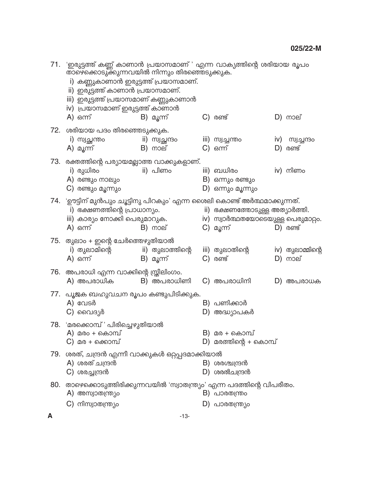|     | 71. 'ഇരുട്ടത്ത് കണ്ണ് കാണാൻ പ്രയാസമാണ് ' എന്ന വാക്യത്തിന്റെ ശരിയായ രൂപം<br>താഴെക്കൊടുക്കുന്നവയിൽ നിന്നും തിരഞ്ഞെടുക്കുക.<br>i) കണ്ണുകാണാൻ ഇരുട്ടത്ത് പ്രയാസമാണ്.<br>ii) ഇരുട്ടത്ത് കാണാൻ പ്രയാസമാണ്.<br>iii) ഇരുട്ടത്ത് പ്രയാസമാണ് കണ്ണുകാണാൻ<br>iv) പ്രയാസമാണ് ഇരുട്ടത്ത് കാണാൻ |  |                               |  |                                                                                   |  |                              |
|-----|----------------------------------------------------------------------------------------------------------------------------------------------------------------------------------------------------------------------------------------------------------------------------------|--|-------------------------------|--|-----------------------------------------------------------------------------------|--|------------------------------|
|     | A) ഒന്ന്                                                                                                                                                                                                                                                                         |  | B) മൂന്ന്                     |  | $C)$ $\omega$ $\omega$                                                            |  | $D)$ നാല്                    |
|     | 72. ശരിയായ പദം തിരഞ്ഞെടുക്കുക.<br>i) സ്വച്ഛന്തം<br>A) മൂന്ന്                                                                                                                                                                                                                     |  | ii) സ്വച്ഛന്ദം<br>$B)$ നാല്   |  | iii) സ്വച്ചന്തം<br>$C)$ $\omega$                                                  |  | iv) സ്വച്ചന്ദം<br>$D)$ രണ്ട് |
|     | 73.   രക്തത്തിന്റെ പര്യായമല്ലാത്ത വാക്കുകളാണ്.<br>i) രുധിരം<br>A) രണ്ടും നാലും<br>$\mathsf{C}$ ) രണ്ടും മൂന്നും                                                                                                                                                                  |  | ii) പിണം                      |  | iii) ബധിരം<br>B) ഒന്നും രണ്ടും<br>D) ഒന്നും മൂന്നും                               |  | iv) നിണം                     |
|     | 74. 'ഊട്ടിന് മുൻപും ചൂട്ടിനു പിറകും' എന്ന ശൈലി കൊണ്ട് അർത്ഥമാക്കുന്നത്.<br>i) ഭക്ഷണത്തിന്റെ പ്രാധാന്യം.<br>iii) കാര്യം നോക്കി പെരുമാറുക.<br>A) ഒന്ന്                                                                                                                             |  | $B)$ നാല്                     |  | ii) ഭക്ഷണത്തോടുള്ള അത്യാർത്തി.<br>iv) സ്വാർത്ഥതയോടെയുള്ള പെരുമാറ്റം.<br>C) മൂന്ന് |  | $D)$ രണ്ട്                   |
|     | 75. തുലാം + ഇന്റെ ചേർത്തെഴുതിയാൽ<br>i) തുലാമിന്റെ<br>A) ഒന്ന്                                                                                                                                                                                                                    |  | ii) തുലാത്തിന്റെ<br>B) മൂന്ന് |  | iii) തുലാതിന്റെ<br>$C)$ $\omega$ $\omega$                                         |  | iv) തുലാമ്മിന്റെ<br>D) നാല്  |
|     | 76. അപരാധി എന്ന വാക്കിന്റെ സ്ത്രീലിംഗം.<br>A) അപരാധിക                                                                                                                                                                                                                            |  | B) അപരാധിണി                   |  | C) അപരാധിനി                                                                       |  | D) അപരാധക                    |
|     | 77.   പൂജക ബഹുവചന രൂപം കണ്ടുപിടിക്കുക.<br>$A)$ വേടർ<br>C) വൈദ്യർ                                                                                                                                                                                                                 |  |                               |  | B) പണിക്കാർ<br>D) അദ്ധ്യാപകർ                                                      |  |                              |
|     | 78. 'മരക്കൊമ്പ്' പിരിച്ചെഴുതിയാൽ<br>A) മരം + കൊമ്പ്<br>C) മര + ക്കൊമ്പ്                                                                                                                                                                                                          |  |                               |  | B) മര + കൊമ്പ്<br>D) മരത്തിന്റെ + കൊമ്പ്                                          |  |                              |
|     | 79. ശരത്, ചന്ദ്രൻ എന്നീ വാക്കുകൾ ഒറ്റപ്പദമാക്കിയാൽ<br>A) ശരത് ചന്ദ്രൻ<br>C) ശരച്ചന്ദ്രൻ                                                                                                                                                                                          |  |                               |  | B) ശരശ്ചന്ദ്രൻ<br>D) ശരൽചന്ദ്രൻ                                                   |  |                              |
| 80. | താഴെക്കൊടുത്തിരിക്കുന്നവയിൽ 'സ്വാതന്ത്ര്യം' എന്ന പദത്തിന്റെ വിപരീതം.<br>A) അസ്വാതന്ത്ര്യം<br>$C$ ) നിസ്വാതന്ത്ര്യം                                                                                                                                                               |  |                               |  | B) പാരതന്ത്രം<br>D) പാരതന്ത്ര്യം                                                  |  |                              |
| A   |                                                                                                                                                                                                                                                                                  |  | $-13-$                        |  |                                                                                   |  |                              |
|     |                                                                                                                                                                                                                                                                                  |  |                               |  |                                                                                   |  |                              |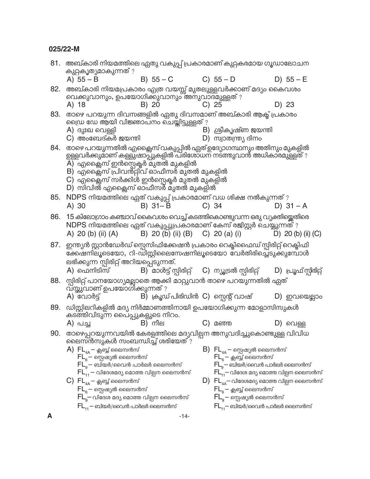|     | 81. അബ്കാരി നിയമത്തിലെ ഏതു വകുപ്പ് പ്രകാരമാണ് കുറ്റകരമായ ഗൂഡാലോചന<br>കുറ്റകൃത്യമാകുന്നത് ?                   |                                                                                                                                                                                                                                                                        |  |                                                                                                                                                                                                                                                       |  |                       |
|-----|--------------------------------------------------------------------------------------------------------------|------------------------------------------------------------------------------------------------------------------------------------------------------------------------------------------------------------------------------------------------------------------------|--|-------------------------------------------------------------------------------------------------------------------------------------------------------------------------------------------------------------------------------------------------------|--|-----------------------|
|     | A) $55 - B$                                                                                                  | $B) 55 - C$                                                                                                                                                                                                                                                            |  | $C) 55 - D$                                                                                                                                                                                                                                           |  | D) $55 - E$           |
| 82. | A) 18                                                                                                        | അബ്കാരി നിയമപ്രകാരം എത്ര വയസ്സ് മുതലുള്ളവർക്കാണ് മദ്യം കൈവശം<br>വെക്കുവാനും, ഉപയോഗിക്കുവാനും അനുവാദമുള്ളത് ?<br>B) 20                                                                                                                                                  |  | $C)$ 25                                                                                                                                                                                                                                               |  | D) 23                 |
| 83. | A) ദുഃഖ വെള്ളി                                                                                               | താഴെ പറയുന്ന ദിവസങ്ങളിൽ ഏതു ദിവസമാണ് അബ്കാരി ആക്ട് പ്രകാരം<br>ഡ്രൈ ഡേ ആയി വിജ്ഞാപ്നം ചെയ്തിട്ടുള്ളത് ?                                                                                                                                                                 |  | B) ശ്രീകൃഷ്ണ ജയന്തി                                                                                                                                                                                                                                   |  |                       |
|     | $C$ ) അംബേദ്കർ ജയന്തി<br>84. രാഴെ പറയുന്നതിൽ എക്സൈ് വക്യുപ്പിൽ ഏത് ഉദ്യോഗസ്ഥനും അതിനും മുകളിൽ                | ഉള്ളവർക്കുമാണ് കള്ളു്ഷാപ്പുകളിൽ പ്രിശോ്ധന നട്ത്തുവാൻ അധികാരമുള്ളത് ?<br>$\overline{{\sf A}}$ )  എക്സൈ ഇൻസ്റ്റെക്ടർ മുതൽ മുകളിൽ<br>B) എക്സൈസ് പ്രിവന്റ്റി്വ് ഓഫീസർ മുതൽ മുകളിൽ<br>$C$ ) എംക്സൈസ് സർക്കിൾ ഇൻസ്റ്റെക്ടർ മുതൽ മുകളിൽ<br>D) സിവിൽ എക്സൈസ് ഓഫീസർ മുതൽ മുകളിൽ |  | D) സ്വാതന്ത്ര്യ ദിനം                                                                                                                                                                                                                                  |  |                       |
| 85. | NDPS നിയമത്തിലെ ഏത് വകുപ്പ് പ്രകാരമാണ് വധ ശിക്ഷ നൽകുന്നത് ?<br>A) 30                                         | $B)$ 31- $\overline{B}$                                                                                                                                                                                                                                                |  | $C)$ 34                                                                                                                                                                                                                                               |  | D) $31 - A$           |
| 86. | A) 20 (b) (ii) (A)                                                                                           | 15 കിലോഗ്രാം കഞ്ചാവ് കൈവശം വെച്ച് കടത്തികൊണ്ടുവന്ന ഒരു വ്യക്തിയ്ക്കെതിരെ<br>NDPS നിയമത്തിലെ ഏത് വകുപ്പുപ്രകാരമാണ് കേസ് രജിസ്റ്റർ ചെയ്യുന്നത് ?<br>B) 20 (b) (ii) (B) C) 20 (a) (i)                                                                                     |  |                                                                                                                                                                                                                                                       |  | D) 20 (b) (ii) (C)    |
| 87. | ലഭിക്കുന്ന സ്റ്റീരിറ്റ് അറിയപ്പെടുന്നത്.<br>A) ഫെനിടിസ്                                                      | ഇന്ത്യൻ സ്റ്റാൻഡേർഡ് സ്പെസിഫിക്കേഷൻ പ്രകാരം റെക്ടിഫൈഡ് സ്റ്റിരിറ്റ് റെക്ടിഫി<br>ക്കേഷനിലൂടെയോ, റി-ഡിസ്റ്റിലൈസേഷനിലൂടെയോ വേർതിരിച്ചെടുക്കുമ്പോൾ<br>B) മാൾട്ട് സ്റ്റിരിറ്റ് C) ന്യൂട്രൽ സ്റ്റിരിറ്റ്                                                                     |  |                                                                                                                                                                                                                                                       |  | D) പ്രൂഫ്സ്റ്റിരിറ്റ് |
| 88. | വ്സ്തുവാണ് ഉപയോഗിക്കുന്നത് ?                                                                                 | സ്നിരിറ്റ് പാനയോഗ്യമല്ലാതെ ആക്കി മാറ്റുവാൻ താഴെ പറയുന്നതിൽ ഏത്                                                                                                                                                                                                         |  |                                                                                                                                                                                                                                                       |  |                       |
|     | A) വോർട്ട്                                                                                                   | B) ക്രൂഡ്പിരിഡിൻ C) സ്പെന്റ് വാഷ്                                                                                                                                                                                                                                      |  |                                                                                                                                                                                                                                                       |  | $D)$ ഇവയെല്ലാം        |
| 89. | ഡിസ്റ്റിലറികളിൽ മദ്യ നിർമ്മാണത്തിനായി ഉപയോഗിക്കുന്ന മോളാസിസുകൾ<br>കടത്തിവിടുന്ന പൈപ്പുകളുടെ നിറം.<br>A) പച്ച | $B)$ നീല                                                                                                                                                                                                                                                               |  |                                                                                                                                                                                                                                                       |  | $D)$ വെള്ള            |
| 90. | ലൈസ്ൻസുകൾ സംബന്ധിച്ച് ശരിയേത് ?                                                                              | താഴെപ്പറയുന്നവയിൽ കേരളത്തിലെ മദ്യവില്പന അനുവദിച്ചുകൊണ്ടുള്ള വിവിധ                                                                                                                                                                                                      |  |                                                                                                                                                                                                                                                       |  |                       |
|     | $A)$ $FL_{4A}$ — ക്ലബ്ബ് ലൈസൻസ്<br>$\mathsf{FL}_6$ — സ്പെഷ്യൽ ലൈസൻസ്                                         | $FL_{q}$ — ബിയർ/വൈൻ പാർലർ ലൈസൻസ്<br>$\mathsf{FL}_{11}$ — വിദേശമദ്യ മൊത്ത വില്പന ലൈസൻസ്                                                                                                                                                                                 |  | $\mathsf{B}$ ) $\mathsf{FL}_{_{4\mathsf{A}}}$ – സ്റ്റെഷ്യൽ ലൈസൻസ്<br>$\mathsf{FL}_\mathsf{s}$ — ക്ലബ്ബ് ലൈസൻസ്<br>$\mathsf{FL}_{\mathsf{q}}-$ ബിയർ/വൈൻ പാർലർ ലൈസൻസ്<br>$\mathsf{FL}_{\mathsf{i}\mathsf{i}}^\mathsf{T}$ വിദേശ മദ്യ മൊത്ത വില്പന ലൈസൻസ് |  |                       |
|     | $\mathsf{C}$ ) $\mathsf{FL}_{\scriptscriptstyle 4A}$ — ക്ലബ്ബ് ലൈസൻസ്<br>$\mathsf{FL}_6-$ സ്പെഷ്യൽ ലൈസൻസ്    |                                                                                                                                                                                                                                                                        |  | $\mathsf{D})\;\; \mathsf{FL}_{\mathsf{4A}}\!\!-$ വിദേശമദ്യ മൊത്ത വില്പന ലൈസൻസ്<br>$\mathsf{FL}_\mathsf{a}^-$ ക്ലബ്ബ് ലൈസൻസ്                                                                                                                           |  |                       |
|     | $FL_{11}$ — ബിയർ/വൈൻ പാർലർ ലൈസൻസ്                                                                            | $\mathsf{FL}_{\mathsf{g}}\!\!-\!\!$ വിദേശ മദ്യ മൊത്ത വില്പന ലൈസൻസ്                                                                                                                                                                                                     |  | $\mathsf{FL}_9$ — സ്പെഷ്യൽ ലൈസൻസ്<br>$\mathsf{FL}_{\mathbf{11}}$ — ബിയർ/വൈൻ പാർലർ ലൈസൻസ്                                                                                                                                                              |  |                       |
| A   |                                                                                                              | -14-                                                                                                                                                                                                                                                                   |  |                                                                                                                                                                                                                                                       |  |                       |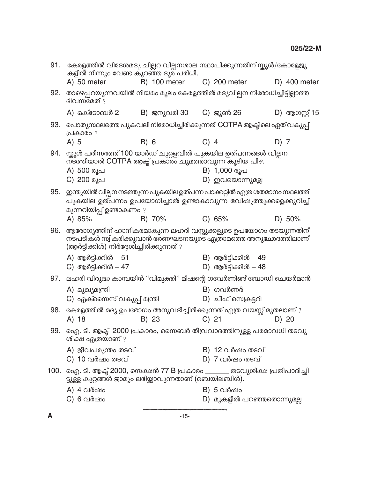| 91.  | കേരളത്തിൽ വിദേശമദ്യ ചില്ലറ വില്പനശാല സ്ഥാപിക്കുന്നതിന് സ്കൂൾ/കോളേജു<br>കളിൽ നിന്നും വേണ്ട കുറഞ്ഞ ദൂര പരിധി.                                                                 |                        |        |                                              |      |                |
|------|-----------------------------------------------------------------------------------------------------------------------------------------------------------------------------|------------------------|--------|----------------------------------------------|------|----------------|
|      | A) 50 meter                                                                                                                                                                 | B) 100 meter           |        | C) 200 meter                                 |      | D) 400 meter   |
| 92.  | താഴെപ്പറയുന്നവയിൽ നിയമം മൂലം കേരളത്തിൽ മദ്യവില്പന നിരോധിച്ചിട്ടില്ലാത്ത<br>ദിവസ്മേത് ?                                                                                      |                        |        |                                              |      |                |
|      | A) ഒക്ടോബർ 2                                                                                                                                                                | B) ജനുവരി 30 C) ജൂൺ 26 |        |                                              |      | D) ആഗസ്റ്റ് 15 |
| 93.  | പൊതുസ്ഥലത്തെ പുകവലി നിരോധിച്ചിരിക്കുന്നത് COTPA ആക്ടിലെ ഏത് വകുപ്പ്<br>പ്രകാരം ?                                                                                            |                        |        |                                              |      |                |
|      | $A)$ 5                                                                                                                                                                      | B) 6                   | $C)$ 4 |                                              | D) 7 |                |
| 94.  | സ്കൂൾ പരിസരത്ത് 100 യാർഡ് ചുറ്റളവിൽ പുകയില ഉത്പന്നങ്ങൾ വില്പന<br>ന്ട്ത്തിയാൽ COTPA ആക്ട് പ്രകാരം ചുമത്താവുന്ന കൂടിയ പിഴ.                                                    |                        |        |                                              |      |                |
|      | A) 500 രൂപ<br>C) 200 രൂപ                                                                                                                                                    |                        |        | B) 1,000 രൂപ<br>D) ഇവയൊന്നുമല്ല              |      |                |
| 95.  | ഇന്ത്യയിൽ വില്പന നടത്തുന്ന പുകയില ഉത്പന്ന പാക്കറ്റിൽ എത്ര ശതമാനം സ്ഥലത്ത്<br>പുകയില ഉത്പന്നം ഉപയോഗിച്ചാൽ ഉണ്ടാകാവുന്ന ഭവിഷ്യത്തുക്കളെക്കുറിച്ച്<br>മുന്നറിയിപ്പ് ഉണ്ടാകണം ? |                        |        |                                              |      |                |
|      | A) 85%                                                                                                                                                                      | B) 70%                 |        | C) 65%                                       |      | D) 50%         |
| 96.  | ആരോഗ്യത്തിന് ഹാനികരമാകുന്ന ലഹരി വസ്തുക്കളുടെ ഉപയോഗം തടയുന്നതിന്<br>നടപടികൾ സ്വീകരിക്കുവാൻ ഭരണഘടനയുടെ എത്രാമത്തെ അനുഛേദത്തിലാണ്<br>(ആർട്ടിക്കിൾ) നിർദ്ദേശിച്ചിരിക്കുന്നത് ?  |                        |        |                                              |      |                |
|      | A) ആർട്ടിക്കിൾ $-51$<br>$C)$ ആർട്ടിക്കിൾ $-47$                                                                                                                              |                        |        | B) ആർട്ടിക്കിൾ $-49$<br>D) ആർട്ടിക്കിൾ $-48$ |      |                |
|      | 97. ലഹരി വിരുദ്ധ കാമ്പയിൻ ''വിമുക്തി'' മിഷന്റെ ഗവേർണിങ്ങ് ബോഡി ചെയർമാൻ                                                                                                      |                        |        |                                              |      |                |
|      | A) മുഖ്യമന്ത്രി<br>C) എക്സൈസ് വകുപ്പ് മന്ത്രി                                                                                                                               |                        |        | B) ഗവർണർ<br>D) ചീഫ് സെക്രട്ടറി               |      |                |
| 98.  | കേരളത്തിൽ മദ്യ ഉപഭോഗം അനുവദിച്ചിരിക്കുന്നത് എത്ര വയസ്സ് മുതലാണ് ?<br>A) 18                                                                                                  | B) 23                  |        | $C)$ 21                                      |      | D) 20          |
| 99.  | ഐ. ടി. ആക്ട്  2000 പ്രകാരം, സൈബർ തീവ്രവാദത്തിനുള്ള പരമാവധി തടവു<br>ശിക്ഷ എത്രയാണ് ?                                                                                         |                        |        |                                              |      |                |
|      | A) ജീവപര്യന്തം തടവ്<br>C) 10 വർഷം തടവ്                                                                                                                                      |                        |        | B) 12 വർഷം തടവ്<br>$D)$ 7 വർഷം തടവ്          |      |                |
| 100. | ഐ. ടി. ആക്ട് 2000, സെക്ഷൻ 77 B പ്രകാരം ______ തടവുശിക്ഷ പ്രതിപാദിച്ചി<br>ട്ടുള്ള കുറ്റങ്ങൾ ജാമ്യം ലഭിയ്ക്കാവുന്നതാണ് (ബെയിലബിൾ).                                            |                        |        |                                              |      |                |
|      | A) 4 വർഷം                                                                                                                                                                   |                        |        | B) 5 വർഷം                                    |      |                |
|      | C) 6 വർഷം                                                                                                                                                                   |                        |        | D) മുകളിൽ പറഞ്ഞതൊന്നുമല്ല                    |      |                |
|      |                                                                                                                                                                             |                        |        |                                              |      |                |

 $\boldsymbol{\mathsf{A}}$